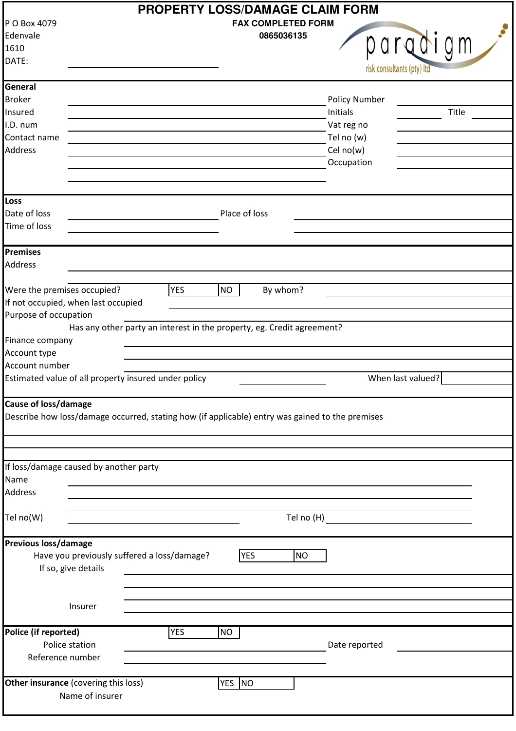| <b>PROPERTY LOSS/DAMAGE CLAIM FORM</b>                                                          |                                                                        |                                                                                                                                                                                                                                      |                           |                      |                                                          |  |  |  |
|-------------------------------------------------------------------------------------------------|------------------------------------------------------------------------|--------------------------------------------------------------------------------------------------------------------------------------------------------------------------------------------------------------------------------------|---------------------------|----------------------|----------------------------------------------------------|--|--|--|
| P O Box 4079                                                                                    |                                                                        |                                                                                                                                                                                                                                      | <b>FAX COMPLETED FORM</b> |                      |                                                          |  |  |  |
| Edenvale                                                                                        |                                                                        |                                                                                                                                                                                                                                      | 0865036135                |                      |                                                          |  |  |  |
| 1610                                                                                            |                                                                        |                                                                                                                                                                                                                                      |                           |                      | paradigm                                                 |  |  |  |
| DATE:                                                                                           |                                                                        |                                                                                                                                                                                                                                      |                           |                      |                                                          |  |  |  |
|                                                                                                 |                                                                        |                                                                                                                                                                                                                                      |                           |                      | risk consultants (pty) Itd                               |  |  |  |
| General                                                                                         |                                                                        |                                                                                                                                                                                                                                      |                           |                      |                                                          |  |  |  |
| <b>Broker</b>                                                                                   |                                                                        |                                                                                                                                                                                                                                      |                           | <b>Policy Number</b> |                                                          |  |  |  |
| Insured                                                                                         |                                                                        |                                                                                                                                                                                                                                      |                           | Initials             | Title                                                    |  |  |  |
|                                                                                                 |                                                                        |                                                                                                                                                                                                                                      |                           |                      |                                                          |  |  |  |
| I.D. num                                                                                        |                                                                        |                                                                                                                                                                                                                                      |                           | Vat reg no           |                                                          |  |  |  |
| Contact name                                                                                    |                                                                        |                                                                                                                                                                                                                                      |                           | Tel no (w)           |                                                          |  |  |  |
| <b>Address</b>                                                                                  |                                                                        |                                                                                                                                                                                                                                      |                           | Cel no(w)            |                                                          |  |  |  |
|                                                                                                 |                                                                        |                                                                                                                                                                                                                                      |                           | Occupation           |                                                          |  |  |  |
|                                                                                                 |                                                                        |                                                                                                                                                                                                                                      |                           |                      |                                                          |  |  |  |
| Loss                                                                                            |                                                                        |                                                                                                                                                                                                                                      |                           |                      |                                                          |  |  |  |
| Date of loss                                                                                    |                                                                        | Place of loss                                                                                                                                                                                                                        |                           |                      |                                                          |  |  |  |
|                                                                                                 |                                                                        |                                                                                                                                                                                                                                      |                           |                      |                                                          |  |  |  |
| Time of loss                                                                                    |                                                                        |                                                                                                                                                                                                                                      |                           |                      |                                                          |  |  |  |
| <b>Premises</b>                                                                                 |                                                                        |                                                                                                                                                                                                                                      |                           |                      |                                                          |  |  |  |
| <b>Address</b>                                                                                  |                                                                        |                                                                                                                                                                                                                                      |                           |                      |                                                          |  |  |  |
|                                                                                                 |                                                                        |                                                                                                                                                                                                                                      |                           |                      |                                                          |  |  |  |
| Were the premises occupied?                                                                     | <b>YES</b>                                                             | <b>NO</b>                                                                                                                                                                                                                            | By whom?                  |                      |                                                          |  |  |  |
| If not occupied, when last occupied                                                             |                                                                        |                                                                                                                                                                                                                                      |                           |                      |                                                          |  |  |  |
| Purpose of occupation                                                                           |                                                                        |                                                                                                                                                                                                                                      |                           |                      |                                                          |  |  |  |
|                                                                                                 | Has any other party an interest in the property, eg. Credit agreement? |                                                                                                                                                                                                                                      |                           |                      |                                                          |  |  |  |
| Finance company                                                                                 |                                                                        |                                                                                                                                                                                                                                      |                           |                      |                                                          |  |  |  |
| Account type                                                                                    |                                                                        |                                                                                                                                                                                                                                      |                           |                      |                                                          |  |  |  |
| Account number                                                                                  |                                                                        |                                                                                                                                                                                                                                      |                           |                      |                                                          |  |  |  |
| Estimated value of all property insured under policy                                            |                                                                        |                                                                                                                                                                                                                                      |                           |                      | When last valued?                                        |  |  |  |
|                                                                                                 |                                                                        |                                                                                                                                                                                                                                      |                           |                      |                                                          |  |  |  |
| <b>Cause of loss/damage</b>                                                                     |                                                                        |                                                                                                                                                                                                                                      |                           |                      |                                                          |  |  |  |
| Describe how loss/damage occurred, stating how (if applicable) entry was gained to the premises |                                                                        |                                                                                                                                                                                                                                      |                           |                      |                                                          |  |  |  |
|                                                                                                 |                                                                        |                                                                                                                                                                                                                                      |                           |                      |                                                          |  |  |  |
|                                                                                                 |                                                                        |                                                                                                                                                                                                                                      |                           |                      |                                                          |  |  |  |
|                                                                                                 |                                                                        |                                                                                                                                                                                                                                      |                           |                      |                                                          |  |  |  |
| If loss/damage caused by another party                                                          |                                                                        |                                                                                                                                                                                                                                      |                           |                      |                                                          |  |  |  |
| Name                                                                                            |                                                                        |                                                                                                                                                                                                                                      |                           |                      |                                                          |  |  |  |
| <b>Address</b>                                                                                  |                                                                        |                                                                                                                                                                                                                                      |                           |                      |                                                          |  |  |  |
|                                                                                                 |                                                                        |                                                                                                                                                                                                                                      |                           |                      |                                                          |  |  |  |
|                                                                                                 |                                                                        |                                                                                                                                                                                                                                      |                           |                      |                                                          |  |  |  |
| Tel no(W)                                                                                       | <u> 1989 - Johann Stein, mars an t-Amerikaansk kommunister (</u>       |                                                                                                                                                                                                                                      | Tel no (H)                |                      | <u> 1989 - Jan Stein Stein, fransk politik (f. 1989)</u> |  |  |  |
| Previous loss/damage                                                                            |                                                                        |                                                                                                                                                                                                                                      |                           |                      |                                                          |  |  |  |
| Have you previously suffered a loss/damage?                                                     |                                                                        | <b>YES</b>                                                                                                                                                                                                                           | <b>NO</b>                 |                      |                                                          |  |  |  |
| If so, give details                                                                             |                                                                        |                                                                                                                                                                                                                                      |                           |                      |                                                          |  |  |  |
|                                                                                                 |                                                                        | <u>and the company of the company of the company of the company of the company of the company of the company of the company of the company of the company of the company of the company of the company of the company of the com</u> |                           |                      |                                                          |  |  |  |
|                                                                                                 |                                                                        |                                                                                                                                                                                                                                      |                           |                      |                                                          |  |  |  |
| Insurer                                                                                         |                                                                        |                                                                                                                                                                                                                                      |                           |                      |                                                          |  |  |  |
|                                                                                                 |                                                                        |                                                                                                                                                                                                                                      |                           |                      |                                                          |  |  |  |
| Police (if reported)                                                                            | <b>YES</b>                                                             | <b>NO</b>                                                                                                                                                                                                                            |                           |                      |                                                          |  |  |  |
| Police station                                                                                  |                                                                        |                                                                                                                                                                                                                                      |                           | Date reported        |                                                          |  |  |  |
| Reference number                                                                                |                                                                        |                                                                                                                                                                                                                                      |                           |                      |                                                          |  |  |  |
|                                                                                                 |                                                                        |                                                                                                                                                                                                                                      |                           |                      |                                                          |  |  |  |
| Other insurance (covering this loss)                                                            |                                                                        | YES NO                                                                                                                                                                                                                               |                           |                      |                                                          |  |  |  |
| Name of insurer                                                                                 |                                                                        |                                                                                                                                                                                                                                      |                           |                      |                                                          |  |  |  |
|                                                                                                 |                                                                        |                                                                                                                                                                                                                                      |                           |                      |                                                          |  |  |  |
|                                                                                                 |                                                                        |                                                                                                                                                                                                                                      |                           |                      |                                                          |  |  |  |